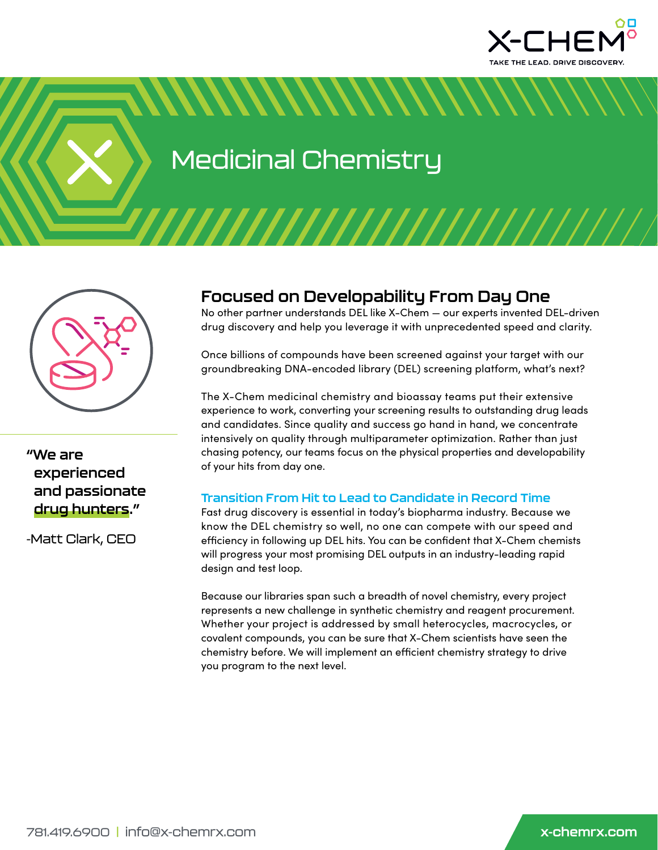

Medicinal Chemistry

<u>NNNNNNNNNNNNN</u>



**"We are experienced and passionate drug hunters."**

-Matt Clark, CEO

# **Focused on Developability From Day One**

No other partner understands DEL like X-Chem — our experts invented DEL-driven drug discovery and help you leverage it with unprecedented speed and clarity.

Once billions of compounds have been screened against your target with our groundbreaking DNA-encoded library (DEL) screening platform, what's next?

The X-Chem medicinal chemistry and bioassay teams put their extensive experience to work, converting your screening results to outstanding drug leads and candidates. Since quality and success go hand in hand, we concentrate intensively on quality through multiparameter optimization. Rather than just chasing potency, our teams focus on the physical properties and developability of your hits from day one.

#### **Transition From Hit to Lead to Candidate in Record Time**

Fast drug discovery is essential in today's biopharma industry. Because we know the DEL chemistry so well, no one can compete with our speed and efficiency in following up DEL hits. You can be confident that X-Chem chemists will progress your most promising DEL outputs in an industry-leading rapid design and test loop.

Because our libraries span such a breadth of novel chemistry, every project represents a new challenge in synthetic chemistry and reagent procurement. Whether your project is addressed by small heterocycles, macrocycles, or covalent compounds, you can be sure that X-Chem scientists have seen the chemistry before. We will implement an efficient chemistry strategy to drive you program to the next level.